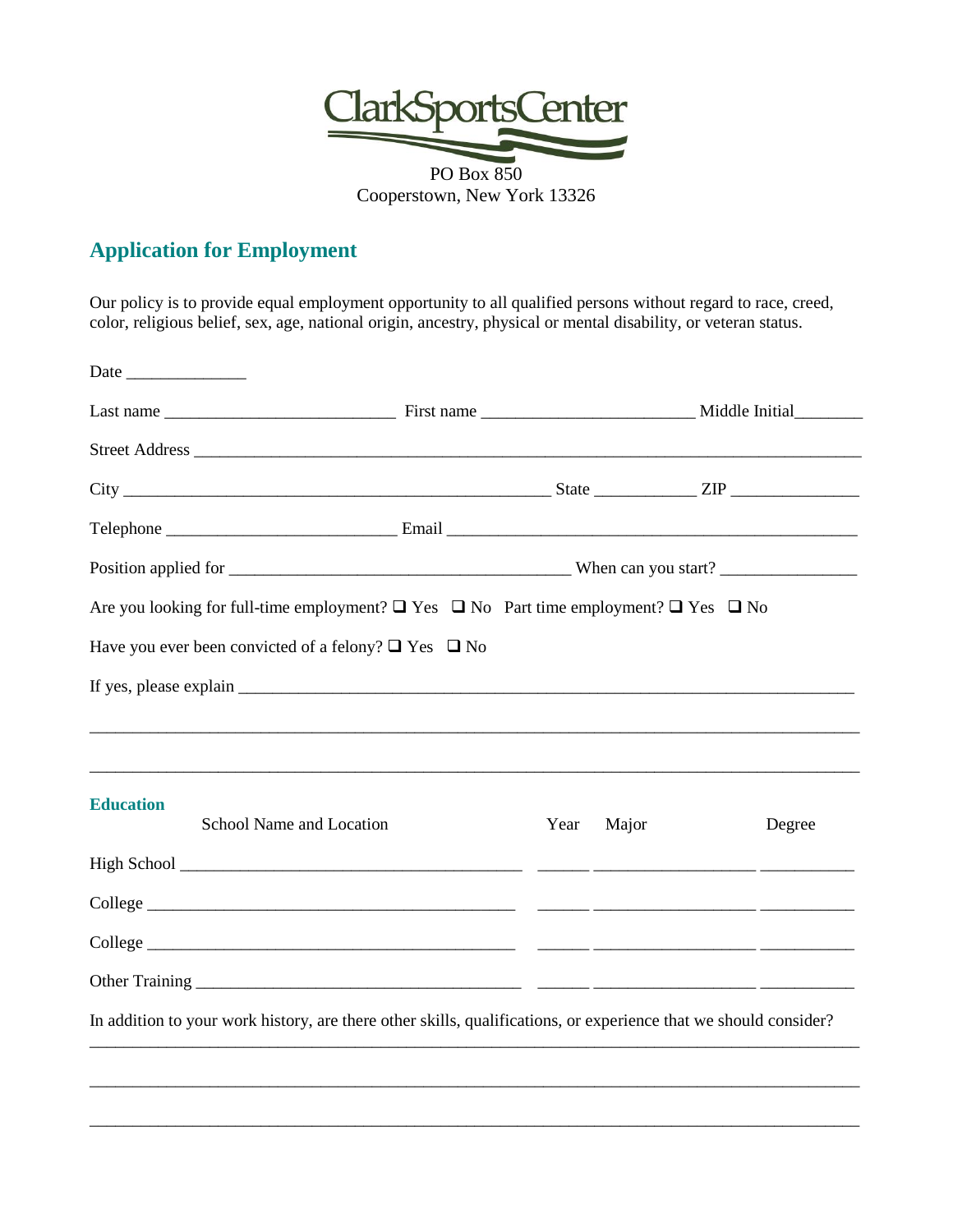

## **Application for Employment**

Our policy is to provide equal employment opportunity to all qualified persons without regard to race, creed, color, religious belief, sex, age, national origin, ancestry, physical or mental disability, or veteran status.

| Date                                                                                                             |  |      |       |  |        |
|------------------------------------------------------------------------------------------------------------------|--|------|-------|--|--------|
|                                                                                                                  |  |      |       |  |        |
|                                                                                                                  |  |      |       |  |        |
|                                                                                                                  |  |      |       |  |        |
|                                                                                                                  |  |      |       |  |        |
|                                                                                                                  |  |      |       |  |        |
| Are you looking for full-time employment? $\Box$ Yes $\Box$ No Part time employment? $\Box$ Yes $\Box$ No        |  |      |       |  |        |
| Have you ever been convicted of a felony? $\Box$ Yes $\Box$ No                                                   |  |      |       |  |        |
|                                                                                                                  |  |      |       |  |        |
|                                                                                                                  |  |      |       |  |        |
|                                                                                                                  |  |      |       |  |        |
| <b>Education</b><br>School Name and Location                                                                     |  | Year | Major |  | Degree |
|                                                                                                                  |  |      |       |  |        |
|                                                                                                                  |  |      |       |  |        |
|                                                                                                                  |  |      |       |  |        |
|                                                                                                                  |  |      |       |  |        |
| In addition to your work history, are there other skills, qualifications, or experience that we should consider? |  |      |       |  |        |
|                                                                                                                  |  |      |       |  |        |
|                                                                                                                  |  |      |       |  |        |
|                                                                                                                  |  |      |       |  |        |